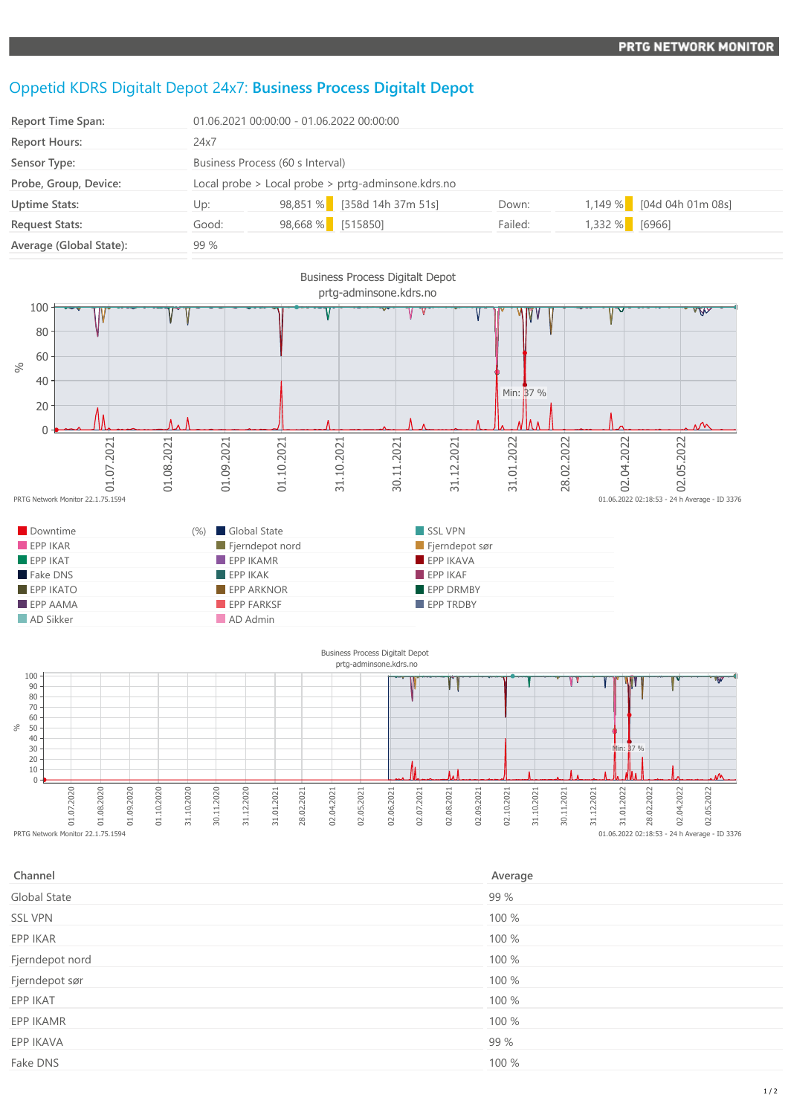## Oppetid KDRS Digitalt Depot 24x7: **Business Process Digitalt Depot**

| <b>Report Time Span:</b> | 01.06.2021 00:00:00 - 01.06.2022 00:00:00          |                   |                             |         |        |                           |
|--------------------------|----------------------------------------------------|-------------------|-----------------------------|---------|--------|---------------------------|
| <b>Report Hours:</b>     | 24x7                                               |                   |                             |         |        |                           |
| Sensor Type:             | Business Process (60 s Interval)                   |                   |                             |         |        |                           |
| Probe, Group, Device:    | Local probe > Local probe > prtg-adminsone.kdrs.no |                   |                             |         |        |                           |
| <b>Uptime Stats:</b>     | Up:                                                |                   | 98,851 % [358d 14h 37m 51s] | Down:   |        | 1,149 % [04d 04h 01m 08s] |
| <b>Request Stats:</b>    | Good:                                              | 98,668 % [515850] |                             | Failed: | 1,332% | [6966]                    |
| Average (Global State):  | 99 %                                               |                   |                             |         |        |                           |



| Channel         | Average |
|-----------------|---------|
| Global State    | 99 %    |
| <b>SSL VPN</b>  | 100 %   |
| EPP IKAR        | 100 %   |
| Fjerndepot nord | 100 %   |
| Fjerndepot sør  | 100 %   |
| EPP IKAT        | 100 %   |
| EPP IKAMR       | 100 %   |
| EPP IKAVA       | 99 %    |
| Fake DNS        | 100 %   |
|                 |         |